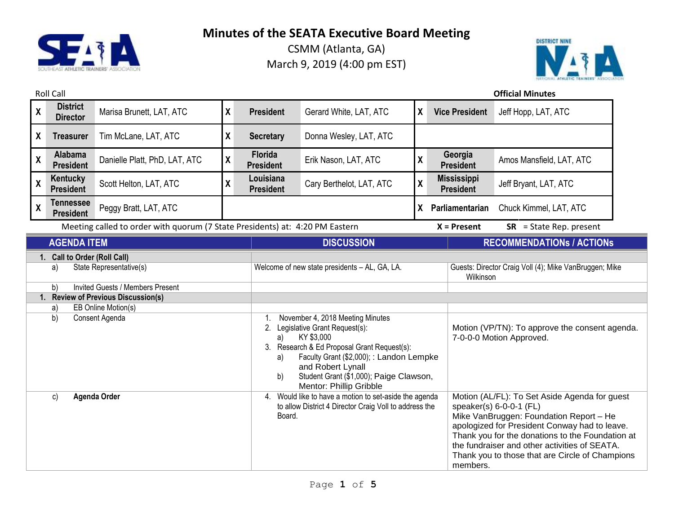

CSMM (Atlanta, GA) March 9, 2019 (4:00 pm EST)



## Roll Call **Official Minutes**

| $\boldsymbol{X}$                                                                                                                                                                                           | <b>District</b><br><b>Director</b>   | Marisa Brunett, LAT, ATC                                                     | $\boldsymbol{X}$           | <b>President</b>                                                                                                                                                                                                                                                                                                       | Gerard White, LAT, ATC   | X  | <b>Vice President</b>                                                                                                                                                                                                                                                                                                        | Jeff Hopp, LAT, ATC              |
|------------------------------------------------------------------------------------------------------------------------------------------------------------------------------------------------------------|--------------------------------------|------------------------------------------------------------------------------|----------------------------|------------------------------------------------------------------------------------------------------------------------------------------------------------------------------------------------------------------------------------------------------------------------------------------------------------------------|--------------------------|----|------------------------------------------------------------------------------------------------------------------------------------------------------------------------------------------------------------------------------------------------------------------------------------------------------------------------------|----------------------------------|
| $\boldsymbol{X}$                                                                                                                                                                                           | <b>Treasurer</b>                     | Tim McLane, LAT, ATC                                                         | $\boldsymbol{X}$           | <b>Secretary</b>                                                                                                                                                                                                                                                                                                       | Donna Wesley, LAT, ATC   |    |                                                                                                                                                                                                                                                                                                                              |                                  |
| $\mathsf{X}$                                                                                                                                                                                               | Alabama<br><b>President</b>          | Danielle Platt, PhD, LAT, ATC                                                | $\pmb{\mathsf{X}}$         | Florida<br><b>President</b>                                                                                                                                                                                                                                                                                            | Erik Nason, LAT, ATC     | χ  | Georgia<br><b>President</b>                                                                                                                                                                                                                                                                                                  | Amos Mansfield, LAT, ATC         |
| $\mathsf{X}$                                                                                                                                                                                               | Kentucky<br><b>President</b>         | Scott Helton, LAT, ATC                                                       | $\pmb{\mathsf{X}}$         | Louisiana<br><b>President</b>                                                                                                                                                                                                                                                                                          | Cary Berthelot, LAT, ATC | X  | <b>Mississippi</b><br><b>President</b>                                                                                                                                                                                                                                                                                       | Jeff Bryant, LAT, ATC            |
| $\mathsf{X}$                                                                                                                                                                                               | <b>Tennessee</b><br><b>President</b> | Peggy Bratt, LAT, ATC                                                        |                            |                                                                                                                                                                                                                                                                                                                        |                          | X. | Parliamentarian                                                                                                                                                                                                                                                                                                              | Chuck Kimmel, LAT, ATC           |
|                                                                                                                                                                                                            |                                      | Meeting called to order with quorum (7 State Presidents) at: 4:20 PM Eastern |                            |                                                                                                                                                                                                                                                                                                                        |                          |    | $X =$ Present                                                                                                                                                                                                                                                                                                                | $SR = State Rep. present$        |
| <b>AGENDA ITEM</b>                                                                                                                                                                                         |                                      |                                                                              |                            |                                                                                                                                                                                                                                                                                                                        | <b>DISCUSSION</b>        |    |                                                                                                                                                                                                                                                                                                                              | <b>RECOMMENDATIONS / ACTIONS</b> |
| 1. Call to Order (Roll Call)<br>State Representative(s)<br>a)<br><b>Invited Guests / Members Present</b><br>b)<br>1. Review of Previous Discussion(s)<br>EB Online Motion(s)<br>a)<br>b)<br>Consent Agenda |                                      |                                                                              | 1.<br>2.<br>a)<br>a)<br>b) | Welcome of new state presidents - AL, GA, LA.<br>November 4, 2018 Meeting Minutes<br>Legislative Grant Request(s):<br>KY \$3,000<br>3. Research & Ed Proposal Grant Request(s):<br>Faculty Grant (\$2,000); : Landon Lempke<br>and Robert Lynall<br>Student Grant (\$1,000); Paige Clawson,<br>Mentor: Phillip Gribble |                          |    | Guests: Director Craig Voll (4); Mike VanBruggen; Mike<br>Wilkinson<br>Motion (VP/TN): To approve the consent agenda.<br>7-0-0-0 Motion Approved.                                                                                                                                                                            |                                  |
| Agenda Order<br>c)                                                                                                                                                                                         |                                      |                                                                              | Board.                     | 4. Would like to have a motion to set-aside the agenda<br>to allow District 4 Director Craig Voll to address the                                                                                                                                                                                                       |                          |    | Motion (AL/FL): To Set Aside Agenda for guest<br>speaker(s) 6-0-0-1 (FL)<br>Mike VanBruggen: Foundation Report - He<br>apologized for President Conway had to leave.<br>Thank you for the donations to the Foundation at<br>the fundraiser and other activities of SEATA.<br>Thank you to those that are Circle of Champions |                                  |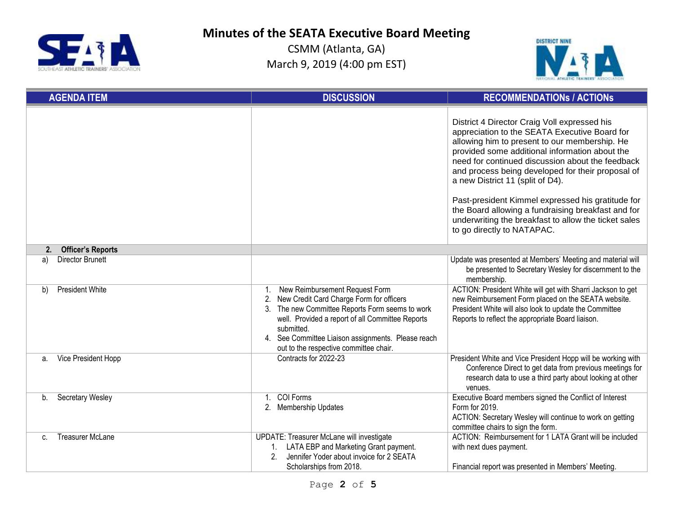



| <b>AGENDA ITEM</b>                      | <b>DISCUSSION</b>                                                                                                                                                                                                                                                                                                 | <b>RECOMMENDATIONS / ACTIONS</b>                                                                                                                                                                                                                                                                                                                                                                                                                                                                                                               |
|-----------------------------------------|-------------------------------------------------------------------------------------------------------------------------------------------------------------------------------------------------------------------------------------------------------------------------------------------------------------------|------------------------------------------------------------------------------------------------------------------------------------------------------------------------------------------------------------------------------------------------------------------------------------------------------------------------------------------------------------------------------------------------------------------------------------------------------------------------------------------------------------------------------------------------|
|                                         |                                                                                                                                                                                                                                                                                                                   | District 4 Director Craig Voll expressed his<br>appreciation to the SEATA Executive Board for<br>allowing him to present to our membership. He<br>provided some additional information about the<br>need for continued discussion about the feedback<br>and process being developed for their proposal of<br>a new District 11 (split of D4).<br>Past-president Kimmel expressed his gratitude for<br>the Board allowing a fundraising breakfast and for<br>underwriting the breakfast to allow the ticket sales<br>to go directly to NATAPAC. |
| <b>Officer's Reports</b><br>2.          |                                                                                                                                                                                                                                                                                                                   |                                                                                                                                                                                                                                                                                                                                                                                                                                                                                                                                                |
| <b>Director Brunett</b><br>a)           |                                                                                                                                                                                                                                                                                                                   | Update was presented at Members' Meeting and material will<br>be presented to Secretary Wesley for discernment to the<br>membership.                                                                                                                                                                                                                                                                                                                                                                                                           |
| President White<br>b)                   | New Reimbursement Request Form<br>$1_{\cdot}$<br>2. New Credit Card Charge Form for officers<br>3. The new Committee Reports Form seems to work<br>well. Provided a report of all Committee Reports<br>submitted.<br>4. See Committee Liaison assignments. Please reach<br>out to the respective committee chair. | ACTION: President White will get with Sharri Jackson to get<br>new Reimbursement Form placed on the SEATA website.<br>President White will also look to update the Committee<br>Reports to reflect the appropriate Board liaison.                                                                                                                                                                                                                                                                                                              |
| Vice President Hopp<br>a.               | Contracts for 2022-23                                                                                                                                                                                                                                                                                             | President White and Vice President Hopp will be working with<br>Conference Direct to get data from previous meetings for<br>research data to use a third party about looking at other<br>venues.                                                                                                                                                                                                                                                                                                                                               |
| <b>Secretary Wesley</b><br>b.           | COI Forms<br>1 <sup>1</sup><br>2. Membership Updates                                                                                                                                                                                                                                                              | Executive Board members signed the Conflict of Interest<br>Form for 2019.<br>ACTION: Secretary Wesley will continue to work on getting<br>committee chairs to sign the form.                                                                                                                                                                                                                                                                                                                                                                   |
| <b>Treasurer McLane</b><br>$\mathbf{C}$ | UPDATE: Treasurer McLane will investigate<br>LATA EBP and Marketing Grant payment.<br>Jennifer Yoder about invoice for 2 SEATA<br>2 <sub>1</sub><br>Scholarships from 2018.                                                                                                                                       | ACTION: Reimbursement for 1 LATA Grant will be included<br>with next dues payment.<br>Financial report was presented in Members' Meeting.                                                                                                                                                                                                                                                                                                                                                                                                      |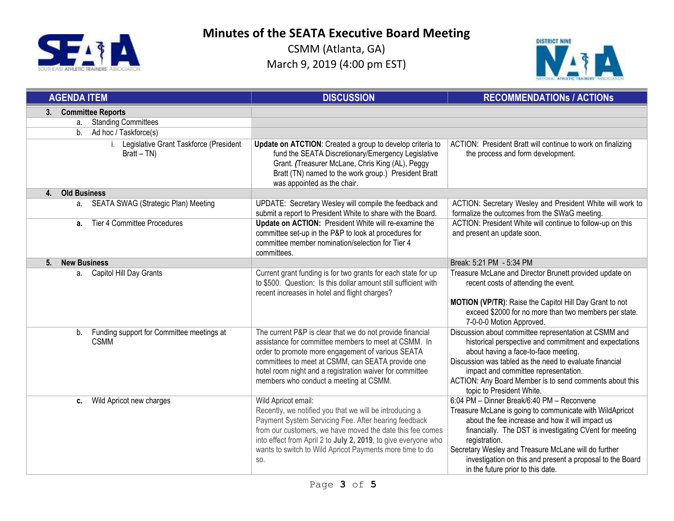



| <b>AGENDA ITEM</b>                                             | <b>DISCUSSION</b>                                                                                                                                                                                                                                                                                                                        | <b>RECOMMENDATIONS / ACTIONS</b>                                                                                                                                                                                                                                                                                                                                                                 |
|----------------------------------------------------------------|------------------------------------------------------------------------------------------------------------------------------------------------------------------------------------------------------------------------------------------------------------------------------------------------------------------------------------------|--------------------------------------------------------------------------------------------------------------------------------------------------------------------------------------------------------------------------------------------------------------------------------------------------------------------------------------------------------------------------------------------------|
| <b>Committee Reports</b><br>3.                                 |                                                                                                                                                                                                                                                                                                                                          |                                                                                                                                                                                                                                                                                                                                                                                                  |
| <b>Standing Committees</b><br>a.                               |                                                                                                                                                                                                                                                                                                                                          |                                                                                                                                                                                                                                                                                                                                                                                                  |
| b.<br>Ad hoc / Taskforce(s)                                    |                                                                                                                                                                                                                                                                                                                                          |                                                                                                                                                                                                                                                                                                                                                                                                  |
| i. Legislative Grant Taskforce (President<br>$Bratt - TN)$     | Update on ATCTION: Created a group to develop criteria to<br>fund the SEATA Discretionary/Emergency Legislative<br>Grant. (Treasurer McLane, Chris King (AL), Peggy<br>Bratt (TN) named to the work group.) President Bratt<br>was appointed as the chair.                                                                               | ACTION: President Bratt will continue to work on finalizing<br>the process and form development.                                                                                                                                                                                                                                                                                                 |
| <b>Old Business</b><br>4.                                      |                                                                                                                                                                                                                                                                                                                                          |                                                                                                                                                                                                                                                                                                                                                                                                  |
| SEATA SWAG (Strategic Plan) Meeting<br>a.                      | UPDATE: Secretary Wesley will compile the feedback and<br>submit a report to President White to share with the Board.                                                                                                                                                                                                                    | ACTION: Secretary Wesley and President White will work to<br>formalize the outcomes from the SWaG meeting.                                                                                                                                                                                                                                                                                       |
| Tier 4 Committee Procedures<br>а.                              | Update on ACTION: President White will re-examine the<br>committee set-up in the P&P to look at procedures for<br>committee member nomination/selection for Tier 4<br>committees.                                                                                                                                                        | ACTION: President White will continue to follow-up on this<br>and present an update soon.                                                                                                                                                                                                                                                                                                        |
| <b>New Business</b><br>5.                                      |                                                                                                                                                                                                                                                                                                                                          | Break: 5:21 PM - 5:34 PM                                                                                                                                                                                                                                                                                                                                                                         |
| Capitol Hill Day Grants<br>а.                                  | Current grant funding is for two grants for each state for up<br>to \$500. Question: Is this dollar amount still sufficient with<br>recent increases in hotel and flight charges?                                                                                                                                                        | Treasure McLane and Director Brunett provided update on<br>recent costs of attending the event.<br>MOTION (VP/TR): Raise the Capitol Hill Day Grant to not<br>exceed \$2000 for no more than two members per state.<br>7-0-0-0 Motion Approved.                                                                                                                                                  |
| Funding support for Committee meetings at<br>b.<br><b>CSMM</b> | The current P&P is clear that we do not provide financial<br>assistance for committee members to meet at CSMM. In<br>order to promote more engagement of various SEATA<br>committees to meet at CSMM, can SEATA provide one<br>hotel room night and a registration waiver for committee<br>members who conduct a meeting at CSMM.        | Discussion about committee representation at CSMM and<br>historical perspective and commitment and expectations<br>about having a face-to-face meeting.<br>Discussion was tabled as the need to evaluate financial<br>impact and committee representation.<br>ACTION: Any Board Member is to send comments about this<br>topic to President White.                                               |
| Wild Apricot new charges<br>c.                                 | Wild Apricot email:<br>Recently, we notified you that we will be introducing a<br>Payment System Servicing Fee. After hearing feedback<br>from our customers, we have moved the date this fee comes<br>into effect from April 2 to July 2, 2019, to give everyone who<br>wants to switch to Wild Apricot Payments more time to do<br>SO. | 6:04 PM - Dinner Break/6:40 PM - Reconvene<br>Treasure McLane is going to communicate with WildApricot<br>about the fee increase and how it will impact us<br>financially. The DST is investigating CVent for meeting<br>registration.<br>Secretary Wesley and Treasure McLane will do further<br>investigation on this and present a proposal to the Board<br>in the future prior to this date. |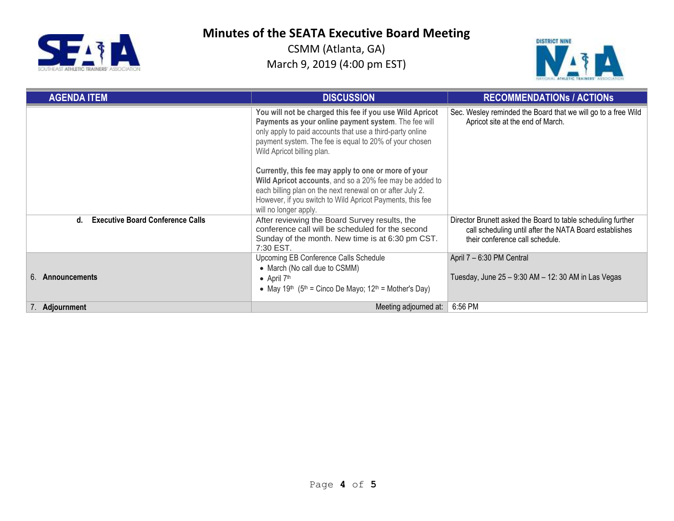



| <b>AGENDA ITEM</b>                            | <b>DISCUSSION</b>                                                                                                                                                                                                                                                     | <b>RECOMMENDATIONS / ACTIONS</b>                                                                                                                          |
|-----------------------------------------------|-----------------------------------------------------------------------------------------------------------------------------------------------------------------------------------------------------------------------------------------------------------------------|-----------------------------------------------------------------------------------------------------------------------------------------------------------|
|                                               | You will not be charged this fee if you use Wild Apricot<br>Payments as your online payment system. The fee will<br>only apply to paid accounts that use a third-party online<br>payment system. The fee is equal to 20% of your chosen<br>Wild Apricot billing plan. | Sec. Wesley reminded the Board that we will go to a free Wild<br>Apricot site at the end of March.                                                        |
|                                               | Currently, this fee may apply to one or more of your<br>Wild Apricot accounts, and so a 20% fee may be added to<br>each billing plan on the next renewal on or after July 2.<br>However, if you switch to Wild Apricot Payments, this fee<br>will no longer apply.    |                                                                                                                                                           |
| <b>Executive Board Conference Calls</b><br>d. | After reviewing the Board Survey results, the<br>conference call will be scheduled for the second<br>Sunday of the month. New time is at 6:30 pm CST.<br>7:30 EST.                                                                                                    | Director Brunett asked the Board to table scheduling further<br>call scheduling until after the NATA Board establishes<br>their conference call schedule. |
| 6. Announcements                              | Upcoming EB Conference Calls Schedule<br>• March (No call due to CSMM)<br>• April $7th$<br>• May 19 <sup>th</sup> (5 <sup>th</sup> = Cinco De Mayo; 12 <sup>th</sup> = Mother's Day)                                                                                  | April 7 - 6:30 PM Central<br>Tuesday, June 25 - 9:30 AM - 12: 30 AM in Las Vegas                                                                          |
| 7. Adjournment                                | Meeting adjourned at:                                                                                                                                                                                                                                                 | 6:56 PM                                                                                                                                                   |